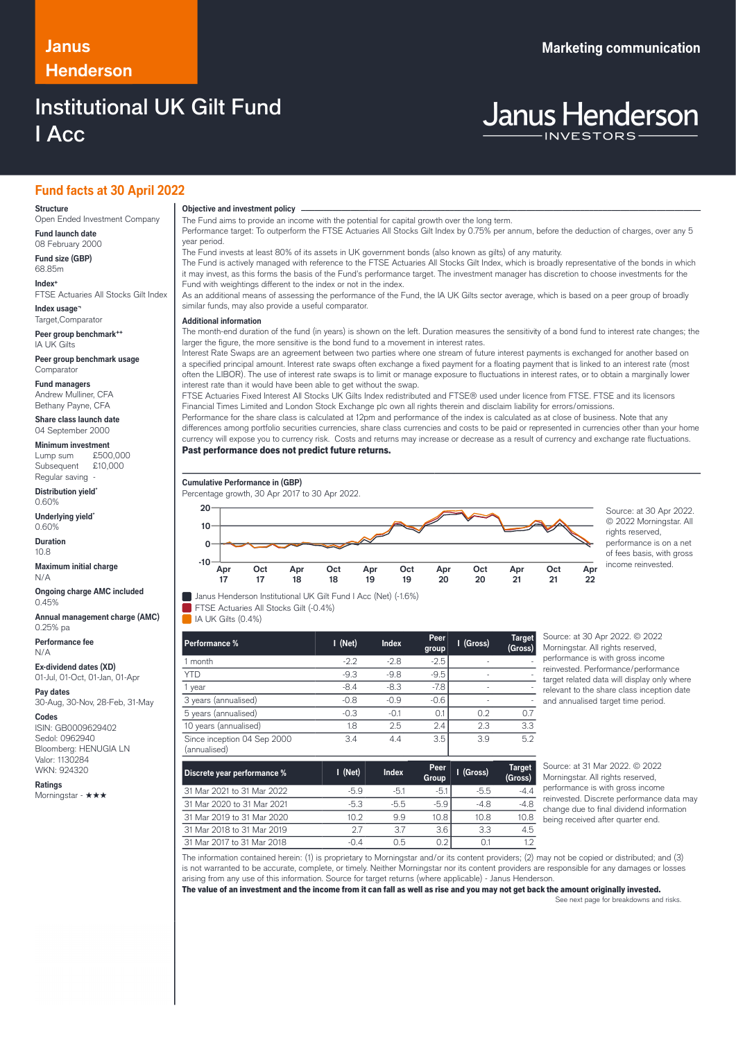# **Henderson**

## Institutional UK Gilt Fund I Acc

## **Fund facts at 30 April 2022**

## **Structure**

Open Ended Investment Company **Fund launch date**

08 February 2000 **Fund size (GBP)** 68.85m

**Index+**

FTSE Actuaries All Stocks Gilt Index **Index usage¬**

Target,Comparator **Peer group benchmark++**

IA UK Gilts **Peer group benchmark usage**

Comparator

**Fund managers** Andrew Mulliner, CFA Bethany Payne, CFA

**Share class launch date** 04 September 2000

**Minimum investment**

Lump sum  $£500,000$ <br>Subsequent  $£10,000$ Subsequent Regular saving

**Distribution yield\*** 0.60%

**Underlying yield\*** 0.60%

**Duration** 10.8

**Maximum initial charge** N/A

**Ongoing charge AMC included** 0.45%

**Annual management charge (AMC)** 0.25% pa

**Performance fee** N/A

**Ex-dividend dates (XD)**

01-Jul, 01-Oct, 01-Jan, 01-Apr

**Pay dates** 30-Aug, 30-Nov, 28-Feb, 31-May

### **Codes**

ISIN: GB0009629402 Sedol: 0962940 Bloomberg: HENUGIA LN Valor: 1130284 WKN: 924320

**Ratings** Morningstar - ★★★

**Objective and investment policy** ────────────────────────────────────────────────────────────────────────────────────────────────────────────────────────────────────────────────────────────────────────────────────────────────────────────────────────────────────────────────────────────────────────────────────────────────────────────────────────────────────────────────────────────────────────────────────────────────────────────────────────────────────────────────────────────────────────────────────────────────────────────────────

The Fund aims to provide an income with the potential for capital growth over the long term.

Performance target: To outperform the FTSE Actuaries All Stocks Gilt Index by 0.75% per annum, before the deduction of charges, over any 5 year period.

The Fund invests at least 80% of its assets in UK government bonds (also known as gilts) of any maturity.

The Fund is actively managed with reference to the FTSE Actuaries All Stocks Gilt Index, which is broadly representative of the bonds in which it may invest, as this forms the basis of the Fund's performance target. The investment manager has discretion to choose investments for the Fund with weightings different to the index or not in the index.

As an additional means of assessing the performance of the Fund, the IA UK Gilts sector average, which is based on a peer group of broadly similar funds, may also provide a useful comparator.

## … **Additional information**

The month-end duration of the fund (in years) is shown on the left. Duration measures the sensitivity of a bond fund to interest rate changes; the larger the figure, the more sensitive is the bond fund to a movement in interest rates.

Interest Rate Swaps are an agreement between two parties where one stream of future interest payments is exchanged for another based on a specified principal amount. Interest rate swaps often exchange a fixed payment for a floating payment that is linked to an interest rate (most often the LIBOR). The use of interest rate swaps is to limit or manage exposure to fluctuations in interest rates, or to obtain a marginally lower interest rate than it would have been able to get without the swap.

FTSE Actuaries Fixed Interest All Stocks UK Gilts Index redistributed and FTSE® used under licence from FTSE. FTSE and its licensors Financial Times Limited and London Stock Exchange plc own all rights therein and disclaim liability for errors/omissions.

Performance for the share class is calculated at 12pm and performance of the index is calculated as at close of business. Note that any differences among portfolio securities currencies, share class currencies and costs to be paid or represented in currencies other than your home currency will expose you to currency risk. Costs and returns may increase or decrease as a result of currency and exchange rate fluctuations.

Past performance does not predict future returns.

FTSE Actuaries All Stocks Gilt (-0.4%)

 $I$ IA I IK Gilts (0.4%)

**Cumulative Performance in (GBP)** Percentage growth, 30 Apr 2017 to 30 Apr 2022. **Janus Henderson Institutional UK Gilt Fund I Acc (Net) (-1.6%) Apr 17 Oct 17 Apr 18 Oct 18 Apr 19 Oct 19 Apr 20 Oct 20 Apr 21 Oct 21 Apr** <u>ን</u>ጋ **-10 0 10 20**  $\rightarrow$  Source: at 30 Apr 2022.

© 2022 Morningstar. All rights reserved, performance is on a net of fees basis, with gross income reinvested.

| Discrete year performance %                 | I (Net) | <b>Index</b> | <b>Peer</b><br>Group | I (Gross) | <b>Target</b><br>(Gross) |
|---------------------------------------------|---------|--------------|----------------------|-----------|--------------------------|
| Since inception 04 Sep 2000<br>(annualised) | 3.4     | 4.4          | 3.5                  | 3.9       | 5.2                      |
| 10 years (annualised)                       | 1.8     | 2.5          | 2.4                  | 2.3       | 3.3                      |
| 5 years (annualised)                        | $-0.3$  |              | U.                   | 0.2       | 0.7                      |

1 month -2.2 -2.8 -2.5 - - YTD -9.3 -9.8 -9.5 - -9.5 - -9.5 - -9.5 - -9.5 - -9.5 - -9.5 - -9.5 - -9.5 - -9.5 - -9.5 - -9.5 - -9.5 - -9.5 -1 year -8.4 -8.3 -7.8 - -

**Performance % I (Net) Index Peer**

3 years (annualised)  $-0.8$  -0.9  $-0.6$ 

Source: at 30 Apr 2022. © 2022 Morningstar. All rights reserved, performance is with gross income reinvested. Performance/performance target related data will display only where relevant to the share class inception date and annualised target time period.

| Discrete year performance % | $1$ (Net) | <b>Index</b> | Peer<br>Group     | I (Gross) | <b>Target</b><br>(Gross) | Source: at 31 Mar 2022. © 2022<br>Morningstar. All rights reserved,                   |
|-----------------------------|-----------|--------------|-------------------|-----------|--------------------------|---------------------------------------------------------------------------------------|
| 31 Mar 2021 to 31 Mar 2022  | $-5.9$    | $-5.1$       | $-5.1$            | $-5.5$    | $-44$                    | performance is with gross income                                                      |
| 31 Mar 2020 to 31 Mar 2021  | $-5.3$    | $-5.5$       | $-5.9$            | $-4.8$    | $-4.8$                   | reinvested. Discrete performance data may<br>change due to final dividend information |
| 31 Mar 2019 to 31 Mar 2020  | 10.2      | 9.9          | 10.8 <sub>l</sub> | 10.8      | 10.8                     | being received after quarter end.                                                     |
| 31 Mar 2018 to 31 Mar 2019  | 27        | 3.7          | 3.6               | 3.3       | 4.5                      |                                                                                       |
| 31 Mar 2017 to 31 Mar 2018  | -0.4      | 0.5          | 0.21              | 0.1       | 1.2                      |                                                                                       |
|                             |           |              |                   |           |                          |                                                                                       |

The information contained herein: (1) is proprietary to Morningstar and/or its content providers; (2) may not be copied or distributed; and (3) is not warranted to be accurate, complete, or timely. Neither Morningstar nor its content providers are responsible for any damages or losses arising from any use of this information. Source for target returns (where applicable) - Janus Henderson.

**group**

**I (Gross) Target**

**(Gross)**

The value of an investment and the income from it can fall as well as rise and you may not get back the amount originally invested.

See next page for breakdowns and risks.